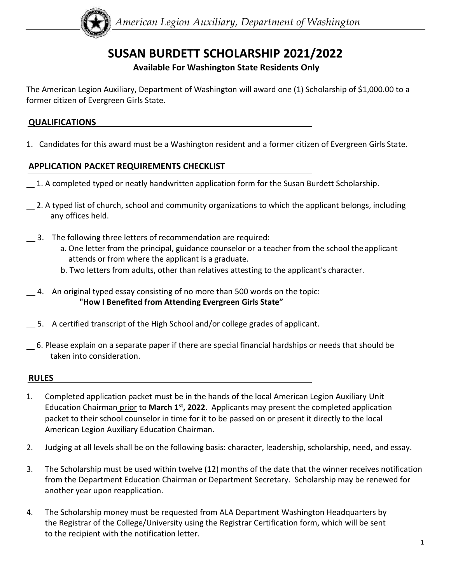

# **SUSAN BURDETT SCHOLARSHIP 2021/2022**

### **Available For Washington State Residents Only**

The American Legion Auxiliary, Department of Washington will award one (1) Scholarship of \$1,000.00 to a former citizen of Evergreen Girls State.

#### **QUALIFICATIONS**

1. Candidates for this award must be a Washington resident and a former citizen of Evergreen Girls State.

#### **APPLICATION PACKET REQUIREMENTS CHECKLIST**

- 1. A completed typed or neatly handwritten application form for the Susan Burdett Scholarship.
- 2. A typed list of church, school and community organizations to which the applicant belongs, including any offices held.
- 3. The following three letters of recommendation are required:
	- a. One letter from the principal, guidance counselor or a teacher from the school the applicant attends or from where the applicant is a graduate.
	- b. Two letters from adults, other than relatives attesting to the applicant's character.
- $\_\_\$ 4. An original typed essay consisting of no more than 500 words on the topic: **"How I Benefited from Attending Evergreen Girls State"**
- 5. A certified transcript of the High School and/or college grades of applicant.
- 6. Please explain on a separate paper if there are special financial hardships or needs that should be taken into consideration.

#### **RULES**

- 1. Completed application packet must be in the hands of the local American Legion Auxiliary Unit Education Chairman prior to March 1<sup>st</sup>, 2022. Applicants may present the completed application packet to their school counselor in time for it to be passed on or present it directly to the local American Legion Auxiliary Education Chairman.
- 2. Judging at all levels shall be on the following basis: character, leadership, scholarship, need, and essay.
- 3. The Scholarship must be used within twelve (12) months of the date that the winner receives notification from the Department Education Chairman or Department Secretary. Scholarship may be renewed for another year upon reapplication.
- 4. The Scholarship money must be requested from ALA Department Washington Headquarters by the Registrar of the College/University using the Registrar Certification form, which will be sent to the recipient with the notification letter.